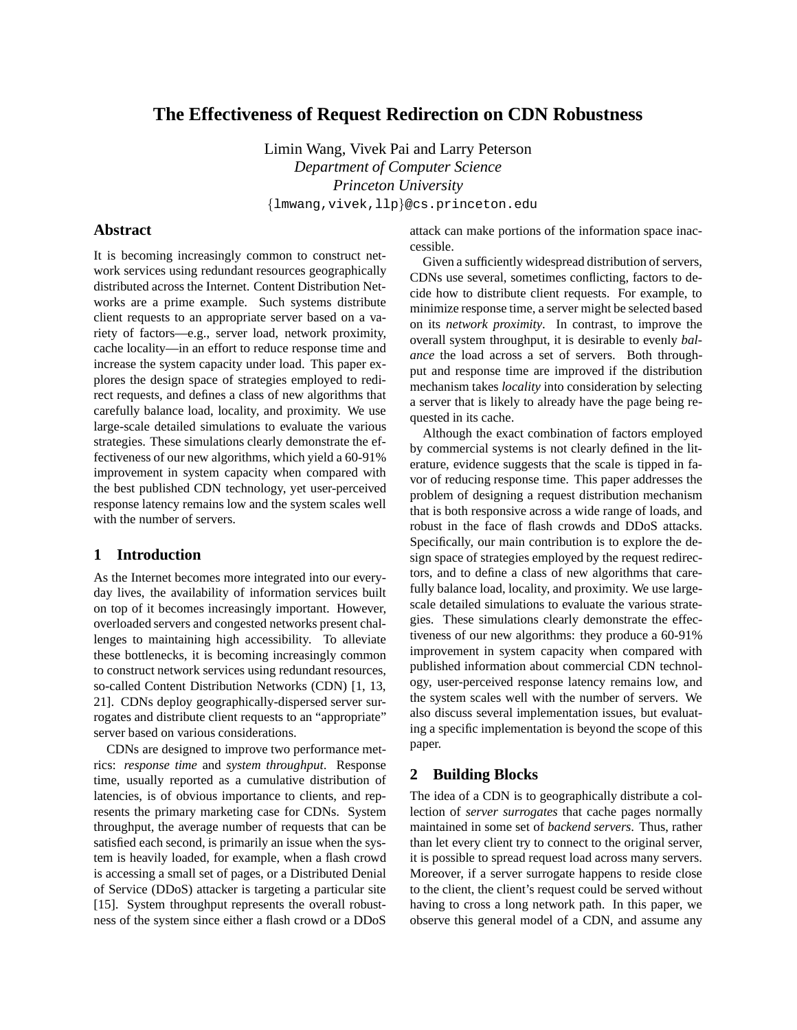# **The Effectiveness of Request Redirection on CDN Robustness**

Limin Wang, Vivek Pai and Larry Peterson *Department of Computer Science Princeton University* {lmwang,vivek,llp}@cs.princeton.edu

## **Abstract**

It is becoming increasingly common to construct network services using redundant resources geographically distributed across the Internet. Content Distribution Networks are a prime example. Such systems distribute client requests to an appropriate server based on a variety of factors—e.g., server load, network proximity, cache locality—in an effort to reduce response time and increase the system capacity under load. This paper explores the design space of strategies employed to redirect requests, and defines a class of new algorithms that carefully balance load, locality, and proximity. We use large-scale detailed simulations to evaluate the various strategies. These simulations clearly demonstrate the effectiveness of our new algorithms, which yield a 60-91% improvement in system capacity when compared with the best published CDN technology, yet user-perceived response latency remains low and the system scales well with the number of servers.

### **1 Introduction**

As the Internet becomes more integrated into our everyday lives, the availability of information services built on top of it becomes increasingly important. However, overloaded servers and congested networks present challenges to maintaining high accessibility. To alleviate these bottlenecks, it is becoming increasingly common to construct network services using redundant resources, so-called Content Distribution Networks (CDN) [1, 13, 21]. CDNs deploy geographically-dispersed server surrogates and distribute client requests to an "appropriate" server based on various considerations.

CDNs are designed to improve two performance metrics: *response time* and *system throughput*. Response time, usually reported as a cumulative distribution of latencies, is of obvious importance to clients, and represents the primary marketing case for CDNs. System throughput, the average number of requests that can be satisfied each second, is primarily an issue when the system is heavily loaded, for example, when a flash crowd is accessing a small set of pages, or a Distributed Denial of Service (DDoS) attacker is targeting a particular site [15]. System throughput represents the overall robustness of the system since either a flash crowd or a DDoS attack can make portions of the information space inaccessible.

Given a sufficiently widespread distribution of servers, CDNs use several, sometimes conflicting, factors to decide how to distribute client requests. For example, to minimize response time, a server might be selected based on its *network proximity*. In contrast, to improve the overall system throughput, it is desirable to evenly *balance* the load across a set of servers. Both throughput and response time are improved if the distribution mechanism takes *locality* into consideration by selecting a server that is likely to already have the page being requested in its cache.

Although the exact combination of factors employed by commercial systems is not clearly defined in the literature, evidence suggests that the scale is tipped in favor of reducing response time. This paper addresses the problem of designing a request distribution mechanism that is both responsive across a wide range of loads, and robust in the face of flash crowds and DDoS attacks. Specifically, our main contribution is to explore the design space of strategies employed by the request redirectors, and to define a class of new algorithms that carefully balance load, locality, and proximity. We use largescale detailed simulations to evaluate the various strategies. These simulations clearly demonstrate the effectiveness of our new algorithms: they produce a 60-91% improvement in system capacity when compared with published information about commercial CDN technology, user-perceived response latency remains low, and the system scales well with the number of servers. We also discuss several implementation issues, but evaluating a specific implementation is beyond the scope of this paper.

## **2 Building Blocks**

The idea of a CDN is to geographically distribute a collection of *server surrogates* that cache pages normally maintained in some set of *backend servers*. Thus, rather than let every client try to connect to the original server, it is possible to spread request load across many servers. Moreover, if a server surrogate happens to reside close to the client, the client's request could be served without having to cross a long network path. In this paper, we observe this general model of a CDN, and assume any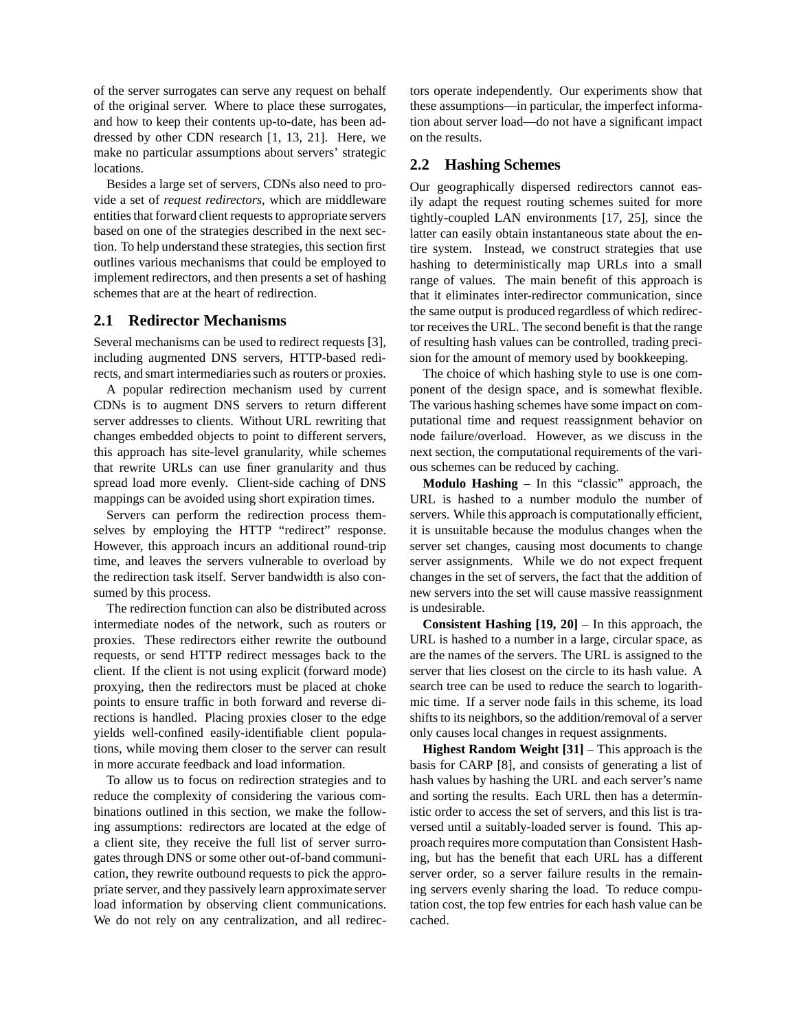of the server surrogates can serve any request on behalf of the original server. Where to place these surrogates, and how to keep their contents up-to-date, has been addressed by other CDN research [1, 13, 21]. Here, we make no particular assumptions about servers' strategic locations.

Besides a large set of servers, CDNs also need to provide a set of *request redirectors*, which are middleware entities that forward client requests to appropriate servers based on one of the strategies described in the next section. To help understand these strategies, this section first outlines various mechanisms that could be employed to implement redirectors, and then presents a set of hashing schemes that are at the heart of redirection.

## **2.1 Redirector Mechanisms**

Several mechanisms can be used to redirect requests [3], including augmented DNS servers, HTTP-based redirects, and smart intermediaries such as routers or proxies.

A popular redirection mechanism used by current CDNs is to augment DNS servers to return different server addresses to clients. Without URL rewriting that changes embedded objects to point to different servers, this approach has site-level granularity, while schemes that rewrite URLs can use finer granularity and thus spread load more evenly. Client-side caching of DNS mappings can be avoided using short expiration times.

Servers can perform the redirection process themselves by employing the HTTP "redirect" response. However, this approach incurs an additional round-trip time, and leaves the servers vulnerable to overload by the redirection task itself. Server bandwidth is also consumed by this process.

The redirection function can also be distributed across intermediate nodes of the network, such as routers or proxies. These redirectors either rewrite the outbound requests, or send HTTP redirect messages back to the client. If the client is not using explicit (forward mode) proxying, then the redirectors must be placed at choke points to ensure traffic in both forward and reverse directions is handled. Placing proxies closer to the edge yields well-confined easily-identifiable client populations, while moving them closer to the server can result in more accurate feedback and load information.

To allow us to focus on redirection strategies and to reduce the complexity of considering the various combinations outlined in this section, we make the following assumptions: redirectors are located at the edge of a client site, they receive the full list of server surrogates through DNS or some other out-of-band communication, they rewrite outbound requests to pick the appropriate server, and they passively learn approximate server load information by observing client communications. We do not rely on any centralization, and all redirectors operate independently. Our experiments show that these assumptions—in particular, the imperfect information about server load—do not have a significant impact on the results.

## **2.2 Hashing Schemes**

Our geographically dispersed redirectors cannot easily adapt the request routing schemes suited for more tightly-coupled LAN environments [17, 25], since the latter can easily obtain instantaneous state about the entire system. Instead, we construct strategies that use hashing to deterministically map URLs into a small range of values. The main benefit of this approach is that it eliminates inter-redirector communication, since the same output is produced regardless of which redirector receives the URL. The second benefit is that the range of resulting hash values can be controlled, trading precision for the amount of memory used by bookkeeping.

The choice of which hashing style to use is one component of the design space, and is somewhat flexible. The various hashing schemes have some impact on computational time and request reassignment behavior on node failure/overload. However, as we discuss in the next section, the computational requirements of the various schemes can be reduced by caching.

**Modulo Hashing** – In this "classic" approach, the URL is hashed to a number modulo the number of servers. While this approach is computationally efficient, it is unsuitable because the modulus changes when the server set changes, causing most documents to change server assignments. While we do not expect frequent changes in the set of servers, the fact that the addition of new servers into the set will cause massive reassignment is undesirable.

**Consistent Hashing [19, 20]** – In this approach, the URL is hashed to a number in a large, circular space, as are the names of the servers. The URL is assigned to the server that lies closest on the circle to its hash value. A search tree can be used to reduce the search to logarithmic time. If a server node fails in this scheme, its load shifts to its neighbors, so the addition/removal of a server only causes local changes in request assignments.

**Highest Random Weight [31]** – This approach is the basis for CARP [8], and consists of generating a list of hash values by hashing the URL and each server's name and sorting the results. Each URL then has a deterministic order to access the set of servers, and this list is traversed until a suitably-loaded server is found. This approach requires more computation than Consistent Hashing, but has the benefit that each URL has a different server order, so a server failure results in the remaining servers evenly sharing the load. To reduce computation cost, the top few entries for each hash value can be cached.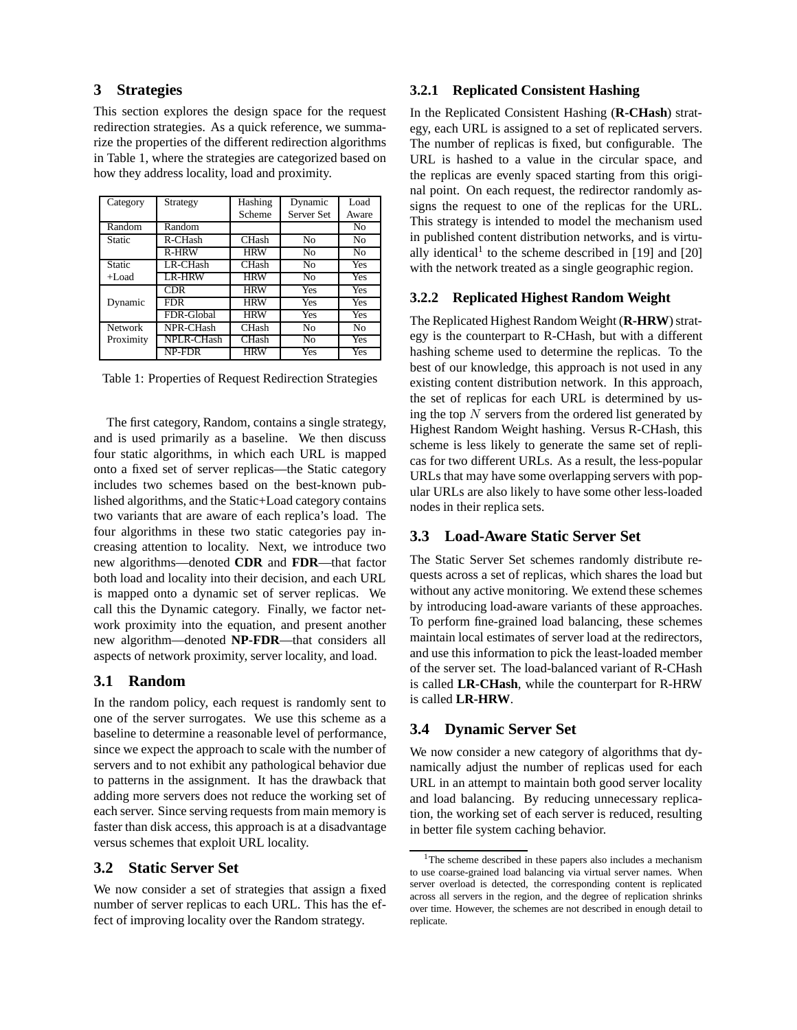# **3 Strategies**

This section explores the design space for the request redirection strategies. As a quick reference, we summarize the properties of the different redirection algorithms in Table 1, where the strategies are categorized based on how they address locality, load and proximity.

| Category       | Strategy      | Hashing      | Dynamic        | Load           |
|----------------|---------------|--------------|----------------|----------------|
|                |               | Scheme       | Server Set     | Aware          |
| Random         | Random        |              |                | N <sub>0</sub> |
| Static         | R-CHash       | CHash        | N <sub>0</sub> | N <sub>0</sub> |
|                | <b>R-HRW</b>  | <b>HRW</b>   | N <sub>0</sub> | No             |
| Static         | LR-CHash      | <b>CHash</b> | No             | Yes            |
| $+$ Load       | <b>LR-HRW</b> | <b>HRW</b>   | N <sub>0</sub> | Yes            |
|                | <b>CDR</b>    | <b>HRW</b>   | Yes            | Yes            |
| Dynamic        | <b>FDR</b>    | <b>HRW</b>   | Yes            | Yes            |
|                | FDR-Global    | <b>HRW</b>   | Yes            | Yes            |
| <b>Network</b> | NPR-CHash     | <b>CHash</b> | N <sub>0</sub> | No             |
| Proximity      | NPLR-CHash    | <b>CHash</b> | N <sub>0</sub> | Yes            |
|                | NP-FDR        | <b>HRW</b>   | Yes            | Yes            |

Table 1: Properties of Request Redirection Strategies

The first category, Random, contains a single strategy, and is used primarily as a baseline. We then discuss four static algorithms, in which each URL is mapped onto a fixed set of server replicas—the Static category includes two schemes based on the best-known published algorithms, and the Static+Load category contains two variants that are aware of each replica's load. The four algorithms in these two static categories pay increasing attention to locality. Next, we introduce two new algorithms—denoted **CDR** and **FDR**—that factor both load and locality into their decision, and each URL is mapped onto a dynamic set of server replicas. We call this the Dynamic category. Finally, we factor network proximity into the equation, and present another new algorithm—denoted **NP-FDR**—that considers all aspects of network proximity, server locality, and load.

## **3.1 Random**

In the random policy, each request is randomly sent to one of the server surrogates. We use this scheme as a baseline to determine a reasonable level of performance, since we expect the approach to scale with the number of servers and to not exhibit any pathological behavior due to patterns in the assignment. It has the drawback that adding more servers does not reduce the working set of each server. Since serving requests from main memory is faster than disk access, this approach is at a disadvantage versus schemes that exploit URL locality.

## **3.2 Static Server Set**

We now consider a set of strategies that assign a fixed number of server replicas to each URL. This has the effect of improving locality over the Random strategy.

#### **3.2.1 Replicated Consistent Hashing**

In the Replicated Consistent Hashing (**R-CHash**) strategy, each URL is assigned to a set of replicated servers. The number of replicas is fixed, but configurable. The URL is hashed to a value in the circular space, and the replicas are evenly spaced starting from this original point. On each request, the redirector randomly assigns the request to one of the replicas for the URL. This strategy is intended to model the mechanism used in published content distribution networks, and is virtually identical<sup>1</sup> to the scheme described in [19] and [20] with the network treated as a single geographic region.

#### **3.2.2 Replicated Highest Random Weight**

The Replicated Highest Random Weight (R-HRW) strategy is the counterpart to R-CHash, but with a different hashing scheme used to determine the replicas. To the best of our knowledge, this approach is not used in any existing content distribution network. In this approach, the set of replicas for each URL is determined by using the top  $N$  servers from the ordered list generated by Highest Random Weight hashing. Versus R-CHash, this scheme is less likely to generate the same set of replicas for two different URLs. As a result, the less-popular URLs that may have some overlapping servers with popular URLs are also likely to have some other less-loaded nodes in their replica sets.

## **3.3 Load-Aware Static Server Set**

The Static Server Set schemes randomly distribute requests across a set of replicas, which shares the load but without any active monitoring. We extend these schemes by introducing load-aware variants of these approaches. To perform fine-grained load balancing, these schemes maintain local estimates of server load at the redirectors, and use this information to pick the least-loaded member of the server set. The load-balanced variant of R-CHash is called **LR-CHash**, while the counterpart for R-HRW is called **LR-HRW**.

## **3.4 Dynamic Server Set**

We now consider a new category of algorithms that dynamically adjust the number of replicas used for each URL in an attempt to maintain both good server locality and load balancing. By reducing unnecessary replication, the working set of each server is reduced, resulting in better file system caching behavior.

<sup>&</sup>lt;sup>1</sup>The scheme described in these papers also includes a mechanism to use coarse-grained load balancing via virtual server names. When server overload is detected, the corresponding content is replicated across all servers in the region, and the degree of replication shrinks over time. However, the schemes are not described in enough detail to replicate.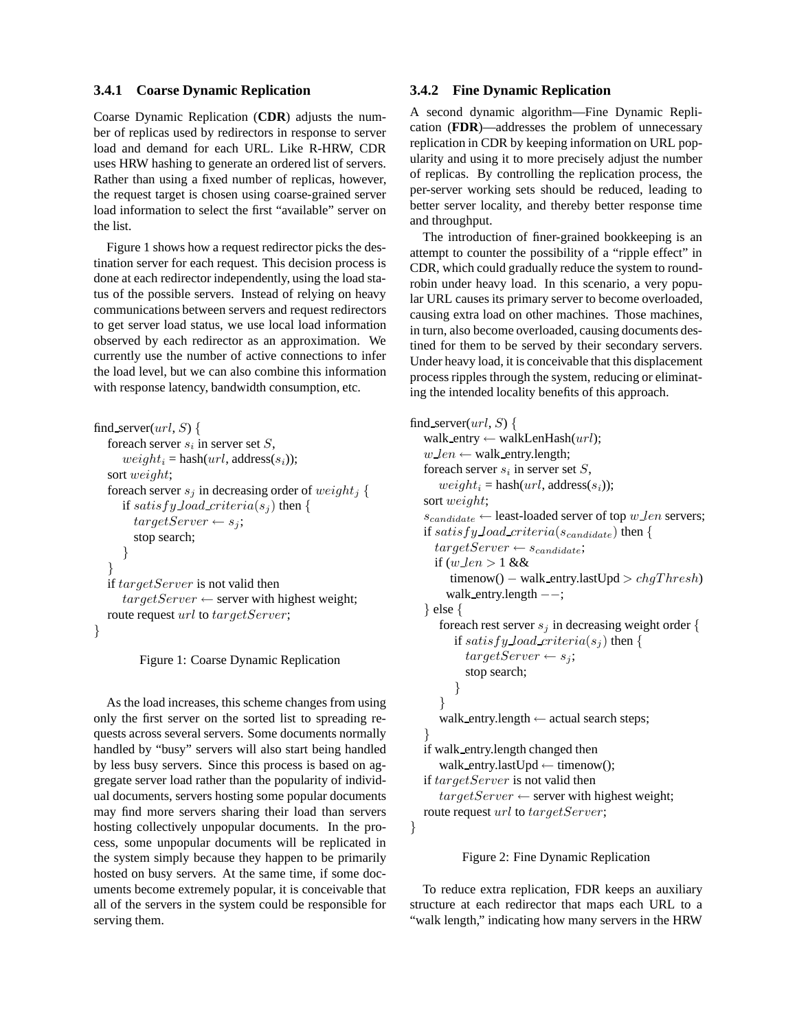## **3.4.1 Coarse Dynamic Replication**

Coarse Dynamic Replication (**CDR**) adjusts the number of replicas used by redirectors in response to server load and demand for each URL. Like R-HRW, CDR uses HRW hashing to generate an ordered list of servers. Rather than using a fixed number of replicas, however, the request target is chosen using coarse-grained server load information to select the first "available" server on the list.

Figure 1 shows how a request redirector picks the destination server for each request. This decision process is done at each redirector independently, using the load status of the possible servers. Instead of relying on heavy communications between servers and request redirectors to get server load status, we use local load information observed by each redirector as an approximation. We currently use the number of active connections to infer the load level, but we can also combine this information with response latency, bandwidth consumption, etc.

```
find_server(url, S) {
   foreach server s_i in server set S,
     weight_i = hash(url, address(s_i));sort weight;
  foreach server s_i in decreasing order of weight, {
     if satisfy load criteria(s_j) then {
        targetServer \leftarrow s_i;stop search;
     }
   }
   if targetServer is not valid then
     targetServer \leftarrow server with highest weight;
  route request url to targetServer;
}
```
Figure 1: Coarse Dynamic Replication

As the load increases, this scheme changes from using only the first server on the sorted list to spreading requests across several servers. Some documents normally handled by "busy" servers will also start being handled by less busy servers. Since this process is based on aggregate server load rather than the popularity of individual documents, servers hosting some popular documents may find more servers sharing their load than servers hosting collectively unpopular documents. In the process, some unpopular documents will be replicated in the system simply because they happen to be primarily hosted on busy servers. At the same time, if some documents become extremely popular, it is conceivable that all of the servers in the system could be responsible for serving them.

#### **3.4.2 Fine Dynamic Replication**

A second dynamic algorithm—Fine Dynamic Replication (**FDR**)—addresses the problem of unnecessary replication in CDR by keeping information on URL popularity and using it to more precisely adjust the number of replicas. By controlling the replication process, the per-server working sets should be reduced, leading to better server locality, and thereby better response time and throughput.

The introduction of finer-grained bookkeeping is an attempt to counter the possibility of a "ripple effect" in CDR, which could gradually reduce the system to roundrobin under heavy load. In this scenario, a very popular URL causes its primary server to become overloaded, causing extra load on other machines. Those machines, in turn, also become overloaded, causing documents destined for them to be served by their secondary servers. Under heavy load, it is conceivable that this displacement process ripples through the system, reducing or eliminating the intended locality benefits of this approach.

```
find_server(url, S) {
  walk_entry \leftarrow walkLenHash(url);
   w<math>len \leftarrow walk entry.length;
   foreach server s_i in server set S,
      weight_i = hash(url, address(s_i));sort weight;
   s_{candidate} \leftarrow least-loaded server of top w len servers;
   if satisfy load criteria(s_{candidate}) then {
     targetServer \leftarrow s_{candidate};if (w\_len > 1 & &
        timenow() – walk_entry.lastUpd > chqThresh)
       walk entry.length −−;
   } else {
      foreach rest server s_i in decreasing weight order {
         if satisfy load criteria(s<sub>i</sub>) then {
           targetServer \leftarrow s_j;stop search;
         }
      }
      walk_entry.length \leftarrow actual search steps;
   }
   if walk entry.length changed then
      walk entry.lastUpd ← timenow();
  if targetServer is not valid then
      targetServer \leftarrow server with highest weight;
  route request url to targetServer;
}
```
Figure 2: Fine Dynamic Replication

To reduce extra replication, FDR keeps an auxiliary structure at each redirector that maps each URL to a "walk length," indicating how many servers in the HRW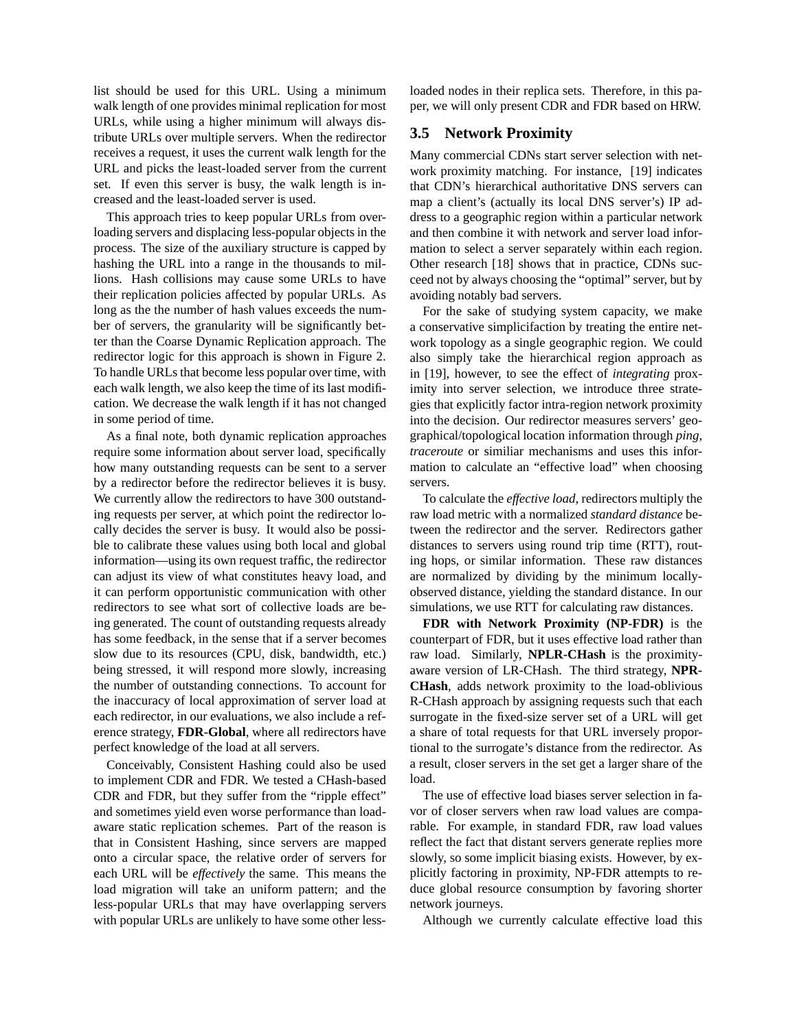list should be used for this URL. Using a minimum walk length of one provides minimal replication for most URLs, while using a higher minimum will always distribute URLs over multiple servers. When the redirector receives a request, it uses the current walk length for the URL and picks the least-loaded server from the current set. If even this server is busy, the walk length is increased and the least-loaded server is used.

This approach tries to keep popular URLs from overloading servers and displacing less-popular objects in the process. The size of the auxiliary structure is capped by hashing the URL into a range in the thousands to millions. Hash collisions may cause some URLs to have their replication policies affected by popular URLs. As long as the the number of hash values exceeds the number of servers, the granularity will be significantly better than the Coarse Dynamic Replication approach. The redirector logic for this approach is shown in Figure 2. To handle URLs that become less popular over time, with each walk length, we also keep the time of its last modification. We decrease the walk length if it has not changed in some period of time.

As a final note, both dynamic replication approaches require some information about server load, specifically how many outstanding requests can be sent to a server by a redirector before the redirector believes it is busy. We currently allow the redirectors to have 300 outstanding requests per server, at which point the redirector locally decides the server is busy. It would also be possible to calibrate these values using both local and global information—using its own request traffic, the redirector can adjust its view of what constitutes heavy load, and it can perform opportunistic communication with other redirectors to see what sort of collective loads are being generated. The count of outstanding requests already has some feedback, in the sense that if a server becomes slow due to its resources (CPU, disk, bandwidth, etc.) being stressed, it will respond more slowly, increasing the number of outstanding connections. To account for the inaccuracy of local approximation of server load at each redirector, in our evaluations, we also include a reference strategy, **FDR-Global**, where all redirectors have perfect knowledge of the load at all servers.

Conceivably, Consistent Hashing could also be used to implement CDR and FDR. We tested a CHash-based CDR and FDR, but they suffer from the "ripple effect" and sometimes yield even worse performance than loadaware static replication schemes. Part of the reason is that in Consistent Hashing, since servers are mapped onto a circular space, the relative order of servers for each URL will be *effectively* the same. This means the load migration will take an uniform pattern; and the less-popular URLs that may have overlapping servers with popular URLs are unlikely to have some other lessloaded nodes in their replica sets. Therefore, in this paper, we will only present CDR and FDR based on HRW.

## **3.5 Network Proximity**

Many commercial CDNs start server selection with network proximity matching. For instance, [19] indicates that CDN's hierarchical authoritative DNS servers can map a client's (actually its local DNS server's) IP address to a geographic region within a particular network and then combine it with network and server load information to select a server separately within each region. Other research [18] shows that in practice, CDNs succeed not by always choosing the "optimal" server, but by avoiding notably bad servers.

For the sake of studying system capacity, we make a conservative simplicifaction by treating the entire network topology as a single geographic region. We could also simply take the hierarchical region approach as in [19], however, to see the effect of *integrating* proximity into server selection, we introduce three strategies that explicitly factor intra-region network proximity into the decision. Our redirector measures servers' geographical/topological location information through *ping*, *traceroute* or similiar mechanisms and uses this information to calculate an "effective load" when choosing servers.

To calculate the *effective load*, redirectors multiply the raw load metric with a normalized *standard distance* between the redirector and the server. Redirectors gather distances to servers using round trip time (RTT), routing hops, or similar information. These raw distances are normalized by dividing by the minimum locallyobserved distance, yielding the standard distance. In our simulations, we use RTT for calculating raw distances.

**FDR with Network Proximity (NP-FDR)** is the counterpart of FDR, but it uses effective load rather than raw load. Similarly, **NPLR-CHash** is the proximityaware version of LR-CHash. The third strategy, **NPR-CHash**, adds network proximity to the load-oblivious R-CHash approach by assigning requests such that each surrogate in the fixed-size server set of a URL will get a share of total requests for that URL inversely proportional to the surrogate's distance from the redirector. As a result, closer servers in the set get a larger share of the load.

The use of effective load biases server selection in favor of closer servers when raw load values are comparable. For example, in standard FDR, raw load values reflect the fact that distant servers generate replies more slowly, so some implicit biasing exists. However, by explicitly factoring in proximity, NP-FDR attempts to reduce global resource consumption by favoring shorter network journeys.

Although we currently calculate effective load this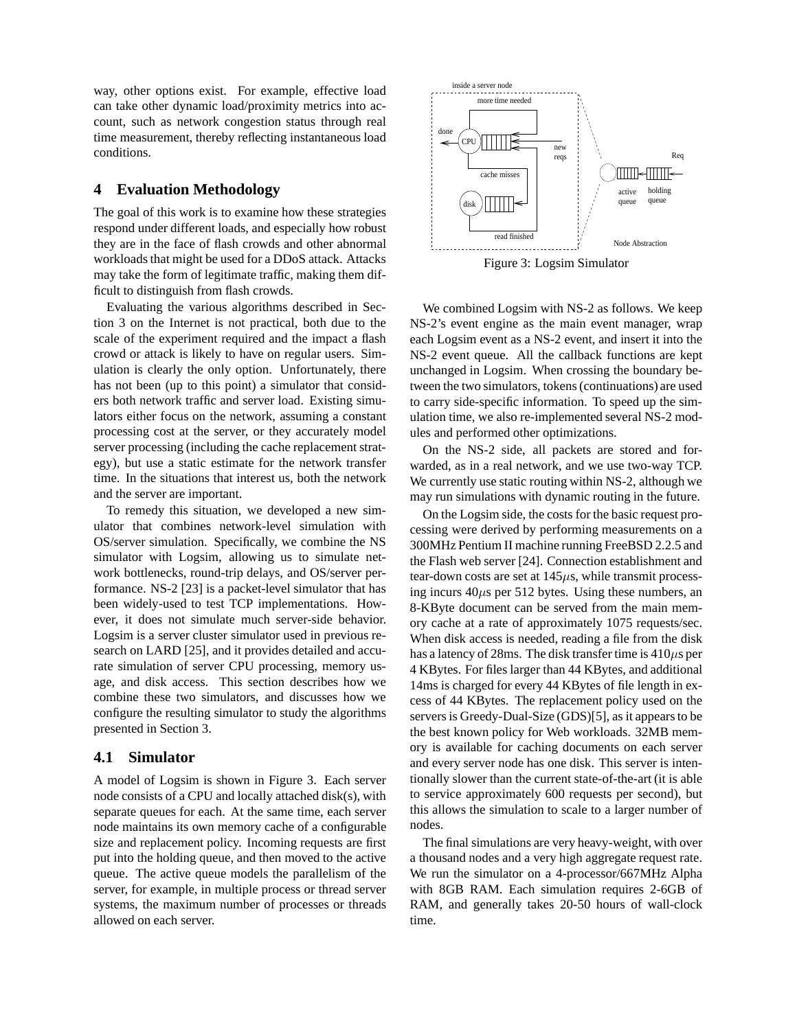way, other options exist. For example, effective load can take other dynamic load/proximity metrics into account, such as network congestion status through real time measurement, thereby reflecting instantaneous load conditions.

## **4 Evaluation Methodology**

The goal of this work is to examine how these strategies respond under different loads, and especially how robust they are in the face of flash crowds and other abnormal workloads that might be used for a DDoS attack. Attacks may take the form of legitimate traffic, making them difficult to distinguish from flash crowds.

Evaluating the various algorithms described in Section 3 on the Internet is not practical, both due to the scale of the experiment required and the impact a flash crowd or attack is likely to have on regular users. Simulation is clearly the only option. Unfortunately, there has not been (up to this point) a simulator that considers both network traffic and server load. Existing simulators either focus on the network, assuming a constant processing cost at the server, or they accurately model server processing (including the cache replacement strategy), but use a static estimate for the network transfer time. In the situations that interest us, both the network and the server are important.

To remedy this situation, we developed a new simulator that combines network-level simulation with OS/server simulation. Specifically, we combine the NS simulator with Logsim, allowing us to simulate network bottlenecks, round-trip delays, and OS/server performance. NS-2 [23] is a packet-level simulator that has been widely-used to test TCP implementations. However, it does not simulate much server-side behavior. Logsim is a server cluster simulator used in previous research on LARD [25], and it provides detailed and accurate simulation of server CPU processing, memory usage, and disk access. This section describes how we combine these two simulators, and discusses how we configure the resulting simulator to study the algorithms presented in Section 3.

## **4.1 Simulator**

A model of Logsim is shown in Figure 3. Each server node consists of a CPU and locally attached disk(s), with separate queues for each. At the same time, each server node maintains its own memory cache of a configurable size and replacement policy. Incoming requests are first put into the holding queue, and then moved to the active queue. The active queue models the parallelism of the server, for example, in multiple process or thread server systems, the maximum number of processes or threads allowed on each server.



We combined Logsim with NS-2 as follows. We keep NS-2's event engine as the main event manager, wrap each Logsim event as a NS-2 event, and insert it into the NS-2 event queue. All the callback functions are kept unchanged in Logsim. When crossing the boundary between the two simulators, tokens(continuations) are used to carry side-specific information. To speed up the simulation time, we also re-implemented several NS-2 modules and performed other optimizations.

On the NS-2 side, all packets are stored and forwarded, as in a real network, and we use two-way TCP. We currently use static routing within NS-2, although we may run simulations with dynamic routing in the future.

On the Logsim side, the costs for the basic request processing were derived by performing measurements on a 300MHz Pentium II machine running FreeBSD 2.2.5 and the Flash web server [24]. Connection establishment and tear-down costs are set at  $145\mu s$ , while transmit processing incurs  $40\mu s$  per 512 bytes. Using these numbers, an 8-KByte document can be served from the main memory cache at a rate of approximately 1075 requests/sec. When disk access is needed, reading a file from the disk has a latency of 28ms. The disk transfer time is  $410\mu s$  per 4 KBytes. For files larger than 44 KBytes, and additional 14ms is charged for every 44 KBytes of file length in excess of 44 KBytes. The replacement policy used on the servers is Greedy-Dual-Size (GDS)[5], as it appears to be the best known policy for Web workloads. 32MB memory is available for caching documents on each server and every server node has one disk. This server is intentionally slower than the current state-of-the-art (it is able to service approximately 600 requests per second), but this allows the simulation to scale to a larger number of nodes.

The final simulations are very heavy-weight, with over a thousand nodes and a very high aggregate request rate. We run the simulator on a 4-processor/667MHz Alpha with 8GB RAM. Each simulation requires 2-6GB of RAM, and generally takes 20-50 hours of wall-clock time.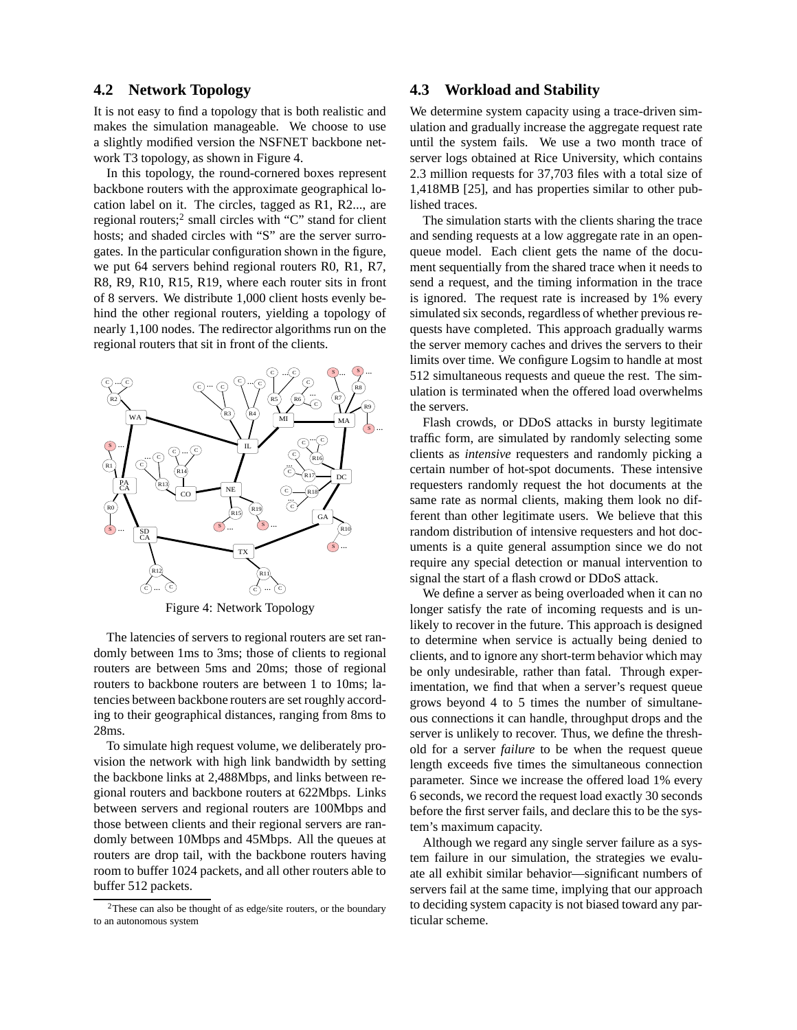### **4.2 Network Topology**

It is not easy to find a topology that is both realistic and makes the simulation manageable. We choose to use a slightly modified version the NSFNET backbone network T3 topology, as shown in Figure 4.

In this topology, the round-cornered boxes represent backbone routers with the approximate geographical location label on it. The circles, tagged as R1, R2..., are regional routers;<sup>2</sup> small circles with "C" stand for client hosts; and shaded circles with "S" are the server surrogates. In the particular configuration shown in the figure, we put 64 servers behind regional routers R0, R1, R7, R8, R9, R10, R15, R19, where each router sits in front of 8 servers. We distribute 1,000 client hosts evenly behind the other regional routers, yielding a topology of nearly 1,100 nodes. The redirector algorithms run on the regional routers that sit in front of the clients.



Figure 4: Network Topology

The latencies of servers to regional routers are set randomly between 1ms to 3ms; those of clients to regional routers are between 5ms and 20ms; those of regional routers to backbone routers are between 1 to 10ms; latencies between backbone routers are set roughly according to their geographical distances, ranging from 8ms to 28ms.

To simulate high request volume, we deliberately provision the network with high link bandwidth by setting the backbone links at 2,488Mbps, and links between regional routers and backbone routers at 622Mbps. Links between servers and regional routers are 100Mbps and those between clients and their regional servers are randomly between 10Mbps and 45Mbps. All the queues at routers are drop tail, with the backbone routers having room to buffer 1024 packets, and all other routers able to buffer 512 packets.

### **4.3 Workload and Stability**

We determine system capacity using a trace-driven simulation and gradually increase the aggregate request rate until the system fails. We use a two month trace of server logs obtained at Rice University, which contains 2.3 million requests for 37,703 files with a total size of 1,418MB [25], and has properties similar to other published traces.

The simulation starts with the clients sharing the trace and sending requests at a low aggregate rate in an openqueue model. Each client gets the name of the document sequentially from the shared trace when it needs to send a request, and the timing information in the trace is ignored. The request rate is increased by 1% every simulated six seconds, regardless of whether previous requests have completed. This approach gradually warms the server memory caches and drives the servers to their limits over time. We configure Logsim to handle at most 512 simultaneous requests and queue the rest. The simulation is terminated when the offered load overwhelms the servers.

Flash crowds, or DDoS attacks in bursty legitimate traffic form, are simulated by randomly selecting some clients as *intensive* requesters and randomly picking a certain number of hot-spot documents. These intensive requesters randomly request the hot documents at the same rate as normal clients, making them look no different than other legitimate users. We believe that this random distribution of intensive requesters and hot documents is a quite general assumption since we do not require any special detection or manual intervention to signal the start of a flash crowd or DDoS attack.

We define a server as being overloaded when it can no longer satisfy the rate of incoming requests and is unlikely to recover in the future. This approach is designed to determine when service is actually being denied to clients, and to ignore any short-term behavior which may be only undesirable, rather than fatal. Through experimentation, we find that when a server's request queue grows beyond 4 to 5 times the number of simultaneous connections it can handle, throughput drops and the server is unlikely to recover. Thus, we define the threshold for a server *failure* to be when the request queue length exceeds five times the simultaneous connection parameter. Since we increase the offered load 1% every 6 seconds, we record the request load exactly 30 seconds before the first server fails, and declare this to be the system's maximum capacity.

Although we regard any single server failure as a system failure in our simulation, the strategies we evaluate all exhibit similar behavior—significant numbers of servers fail at the same time, implying that our approach to deciding system capacity is not biased toward any particular scheme.

<sup>2</sup>These can also be thought of as edge/site routers, or the boundary to an autonomous system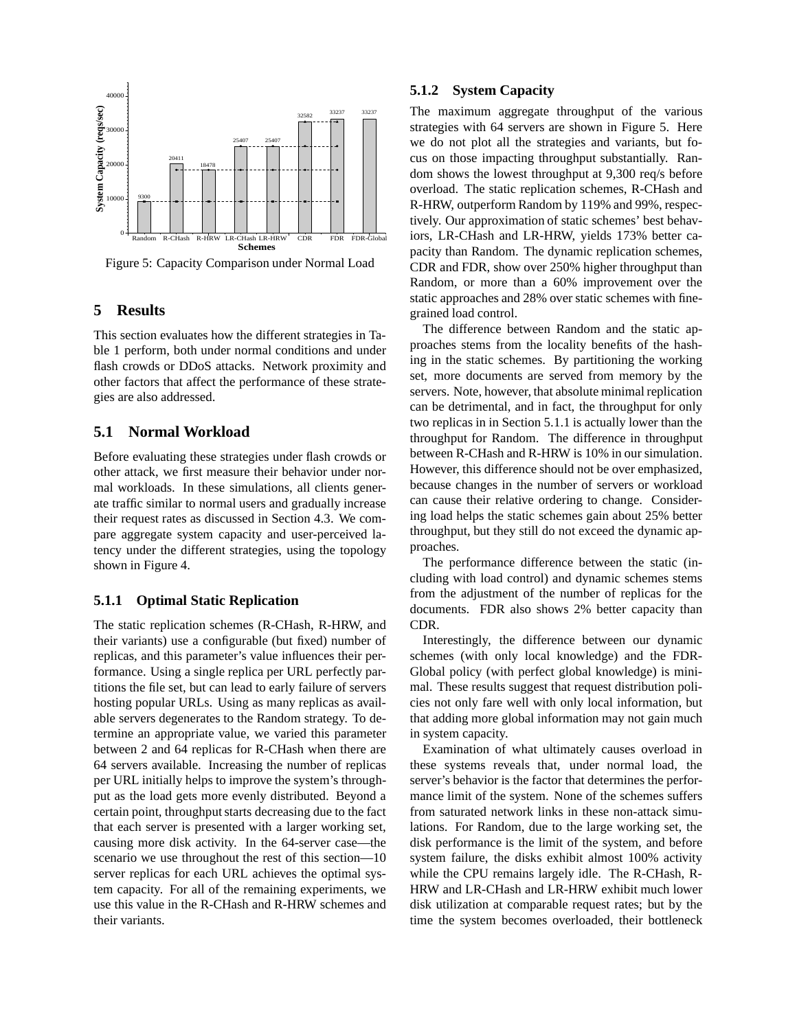

Figure 5: Capacity Comparison under Normal Load

# **5 Results**

This section evaluates how the different strategies in Table 1 perform, both under normal conditions and under flash crowds or DDoS attacks. Network proximity and other factors that affect the performance of these strategies are also addressed.

## **5.1 Normal Workload**

Before evaluating these strategies under flash crowds or other attack, we first measure their behavior under normal workloads. In these simulations, all clients generate traffic similar to normal users and gradually increase their request rates as discussed in Section 4.3. We compare aggregate system capacity and user-perceived latency under the different strategies, using the topology shown in Figure 4.

## **5.1.1 Optimal Static Replication**

The static replication schemes (R-CHash, R-HRW, and their variants) use a configurable (but fixed) number of replicas, and this parameter's value influences their performance. Using a single replica per URL perfectly partitions the file set, but can lead to early failure of servers hosting popular URLs. Using as many replicas as available servers degenerates to the Random strategy. To determine an appropriate value, we varied this parameter between 2 and 64 replicas for R-CHash when there are 64 servers available. Increasing the number of replicas per URL initially helps to improve the system's throughput as the load gets more evenly distributed. Beyond a certain point, throughput starts decreasing due to the fact that each server is presented with a larger working set, causing more disk activity. In the 64-server case—the scenario we use throughout the rest of this section—10 server replicas for each URL achieves the optimal system capacity. For all of the remaining experiments, we use this value in the R-CHash and R-HRW schemes and their variants.

#### **5.1.2 System Capacity**

The maximum aggregate throughput of the various strategies with 64 servers are shown in Figure 5. Here we do not plot all the strategies and variants, but focus on those impacting throughput substantially. Random shows the lowest throughput at 9,300 req/s before overload. The static replication schemes, R-CHash and R-HRW, outperform Random by 119% and 99%, respectively. Our approximation of static schemes' best behaviors, LR-CHash and LR-HRW, yields 173% better capacity than Random. The dynamic replication schemes, CDR and FDR, show over 250% higher throughput than Random, or more than a 60% improvement over the static approaches and 28% over static schemes with finegrained load control.

The difference between Random and the static approaches stems from the locality benefits of the hashing in the static schemes. By partitioning the working set, more documents are served from memory by the servers. Note, however, that absolute minimal replication can be detrimental, and in fact, the throughput for only two replicas in in Section 5.1.1 is actually lower than the throughput for Random. The difference in throughput between R-CHash and R-HRW is 10% in our simulation. However, this difference should not be over emphasized, because changes in the number of servers or workload can cause their relative ordering to change. Considering load helps the static schemes gain about 25% better throughput, but they still do not exceed the dynamic approaches.

The performance difference between the static (including with load control) and dynamic schemes stems from the adjustment of the number of replicas for the documents. FDR also shows 2% better capacity than CDR.

Interestingly, the difference between our dynamic schemes (with only local knowledge) and the FDR-Global policy (with perfect global knowledge) is minimal. These results suggest that request distribution policies not only fare well with only local information, but that adding more global information may not gain much in system capacity.

Examination of what ultimately causes overload in these systems reveals that, under normal load, the server's behavior is the factor that determines the performance limit of the system. None of the schemes suffers from saturated network links in these non-attack simulations. For Random, due to the large working set, the disk performance is the limit of the system, and before system failure, the disks exhibit almost 100% activity while the CPU remains largely idle. The R-CHash, R-HRW and LR-CHash and LR-HRW exhibit much lower disk utilization at comparable request rates; but by the time the system becomes overloaded, their bottleneck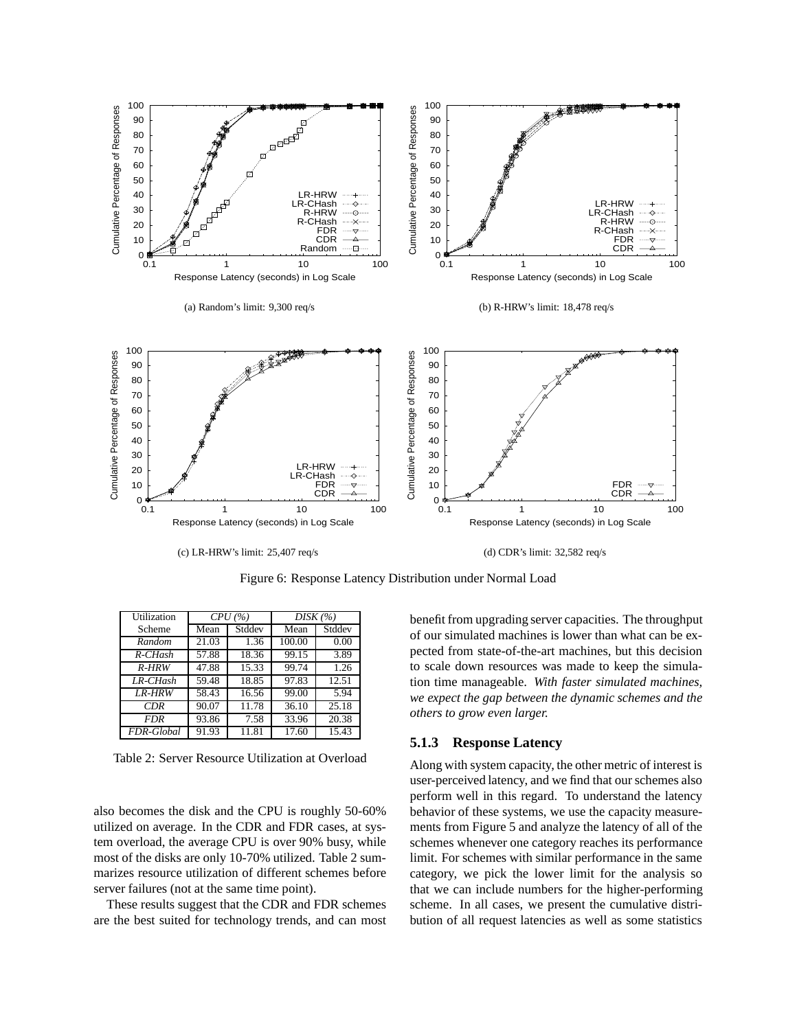

Figure 6: Response Latency Distribution under Normal Load

| Utilization   |       | CPU(%) | DISK (%) |        |
|---------------|-------|--------|----------|--------|
| Scheme        | Mean  | Stddev | Mean     | Stddev |
| Random        | 21.03 | 1.36   | 100.00   | 0.00   |
| R-CHash       | 57.88 | 18.36  | 99.15    | 3.89   |
| $R$ - $HRW$   | 47.88 | 15.33  | 99.74    | 1.26   |
| $LR$ -CHash   | 59.48 | 18.85  | 97.83    | 12.51  |
| <b>LR-HRW</b> | 58.43 | 16.56  | 99.00    | 5.94   |
| CDR           | 90.07 | 11.78  | 36.10    | 25.18  |
| <b>FDR</b>    | 93.86 | 7.58   | 33.96    | 20.38  |
| FDR-Global    | 91.93 | 11.81  | 17.60    | 15.43  |

Table 2: Server Resource Utilization at Overload

also becomes the disk and the CPU is roughly 50-60% utilized on average. In the CDR and FDR cases, at system overload, the average CPU is over 90% busy, while most of the disks are only 10-70% utilized. Table 2 summarizes resource utilization of different schemes before server failures (not at the same time point).

These results suggest that the CDR and FDR schemes are the best suited for technology trends, and can most benefit from upgrading server capacities. The throughput of our simulated machines is lower than what can be expected from state-of-the-art machines, but this decision to scale down resources was made to keep the simulation time manageable. *With faster simulated machines, we expect the gap between the dynamic schemes and the others to grow even larger.*

## **5.1.3 Response Latency**

Along with system capacity, the other metric of interest is user-perceived latency, and we find that our schemes also perform well in this regard. To understand the latency behavior of these systems, we use the capacity measurements from Figure 5 and analyze the latency of all of the schemes whenever one category reaches its performance limit. For schemes with similar performance in the same category, we pick the lower limit for the analysis so that we can include numbers for the higher-performing scheme. In all cases, we present the cumulative distribution of all request latencies as well as some statistics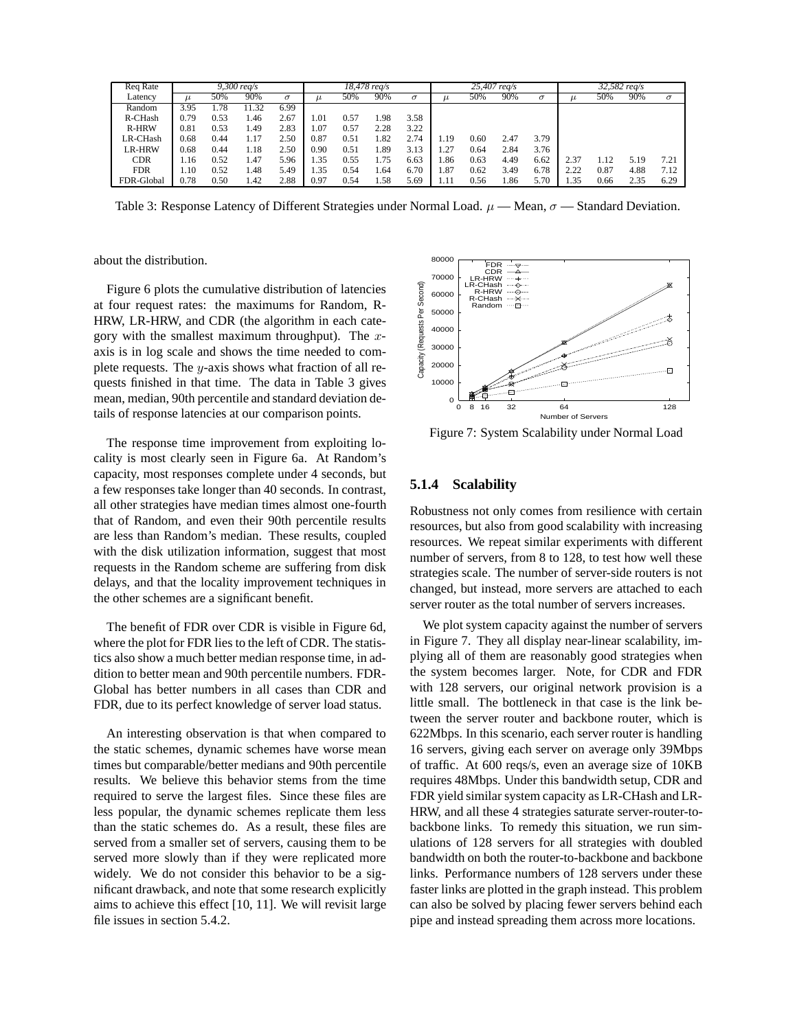| Reg Rate     |      |      | $9,300$ rea/s |          |      |      | $18,478$ req/s |          |      |      | $25,407$ reg/s |          | $32,582$ reg/s |      |      |          |
|--------------|------|------|---------------|----------|------|------|----------------|----------|------|------|----------------|----------|----------------|------|------|----------|
| Latency      | u    | 50%  | 90%           | $\sigma$ |      | 50%  | 90%            | $\sigma$ |      | 50%  | 90%            | $\sigma$ | u              | 50%  | 90%  | $\sigma$ |
| Random       | 3.95 | .78  | 1.32          | 6.99     |      |      |                |          |      |      |                |          |                |      |      |          |
| R-CHash      | 0.79 | 0.53 | 1.46          | 2.67     | 1.01 | 0.57 | 1.98           | 3.58     |      |      |                |          |                |      |      |          |
| <b>R-HRW</b> | 0.81 | 0.53 | 1.49          | 2.83     | 1.07 | 0.57 | 2.28           | 3.22     |      |      |                |          |                |      |      |          |
| LR-CHash     | 0.68 | 0.44 | 1.17          | 2.50     | 0.87 | 0.51 | 1.82           | 2.74     | 1.19 | 0.60 | 2.47           | 3.79     |                |      |      |          |
| LR-HRW       | 0.68 | 0.44 | 1.18          | 2.50     | 0.90 | 0.51 | . 89           | 3.13     | 1.27 | 0.64 | 2.84           | 3.76     |                |      |      |          |
| <b>CDR</b>   | 1.16 | 0.52 | 1.47          | 5.96     | 1.35 | 0.55 | 1.75           | 6.63     | 1.86 | 0.63 | 4.49           | 6.62     | 2.37           | l.12 | 5.19 | 7.21     |
| <b>FDR</b>   | 1.10 | 0.52 | 1.48          | 5.49     | 1.35 | 0.54 | 1.64           | 6.70     | 1.87 | 0.62 | 3.49           | 6.78     | 2.22           | 0.87 | 4.88 | 7.12     |
| FDR-Global   | 0.78 | 0.50 | 1.42          | 2.88     | 0.97 | 0.54 | 1.58           | 5.69     | 1.11 | 0.56 | l.86           | 5.70     | 1.35           | 0.66 | 2.35 | 6.29     |

Table 3: Response Latency of Different Strategies under Normal Load.  $\mu$  — Mean,  $\sigma$  — Standard Deviation.

about the distribution.

Figure 6 plots the cumulative distribution of latencies at four request rates: the maximums for Random, R-HRW, LR-HRW, and CDR (the algorithm in each category with the smallest maximum throughput). The  $x$ axis is in log scale and shows the time needed to complete requests. The y-axis shows what fraction of all requests finished in that time. The data in Table 3 gives mean, median, 90th percentile and standard deviation details of response latencies at our comparison points.

The response time improvement from exploiting locality is most clearly seen in Figure 6a. At Random's capacity, most responses complete under 4 seconds, but a few responses take longer than 40 seconds. In contrast, all other strategies have median times almost one-fourth that of Random, and even their 90th percentile results are less than Random's median. These results, coupled with the disk utilization information, suggest that most requests in the Random scheme are suffering from disk delays, and that the locality improvement techniques in the other schemes are a significant benefit.

The benefit of FDR over CDR is visible in Figure 6d, where the plot for FDR lies to the left of CDR. The statistics also show a much better median response time, in addition to better mean and 90th percentile numbers. FDR-Global has better numbers in all cases than CDR and FDR, due to its perfect knowledge of server load status.

An interesting observation is that when compared to the static schemes, dynamic schemes have worse mean times but comparable/better medians and 90th percentile results. We believe this behavior stems from the time required to serve the largest files. Since these files are less popular, the dynamic schemes replicate them less than the static schemes do. As a result, these files are served from a smaller set of servers, causing them to be served more slowly than if they were replicated more widely. We do not consider this behavior to be a significant drawback, and note that some research explicitly aims to achieve this effect [10, 11]. We will revisit large file issues in section 5.4.2.



Figure 7: System Scalability under Normal Load

### **5.1.4 Scalability**

Robustness not only comes from resilience with certain resources, but also from good scalability with increasing resources. We repeat similar experiments with different number of servers, from 8 to 128, to test how well these strategies scale. The number of server-side routers is not changed, but instead, more servers are attached to each server router as the total number of servers increases.

We plot system capacity against the number of servers in Figure 7. They all display near-linear scalability, implying all of them are reasonably good strategies when the system becomes larger. Note, for CDR and FDR with 128 servers, our original network provision is a little small. The bottleneck in that case is the link between the server router and backbone router, which is 622Mbps. In this scenario, each server router is handling 16 servers, giving each server on average only 39Mbps of traffic. At 600 reqs/s, even an average size of 10KB requires 48Mbps. Under this bandwidth setup, CDR and FDR yield similar system capacity as LR-CHash and LR-HRW, and all these 4 strategies saturate server-router-tobackbone links. To remedy this situation, we run simulations of 128 servers for all strategies with doubled bandwidth on both the router-to-backbone and backbone links. Performance numbers of 128 servers under these faster links are plotted in the graph instead. This problem can also be solved by placing fewer servers behind each pipe and instead spreading them across more locations.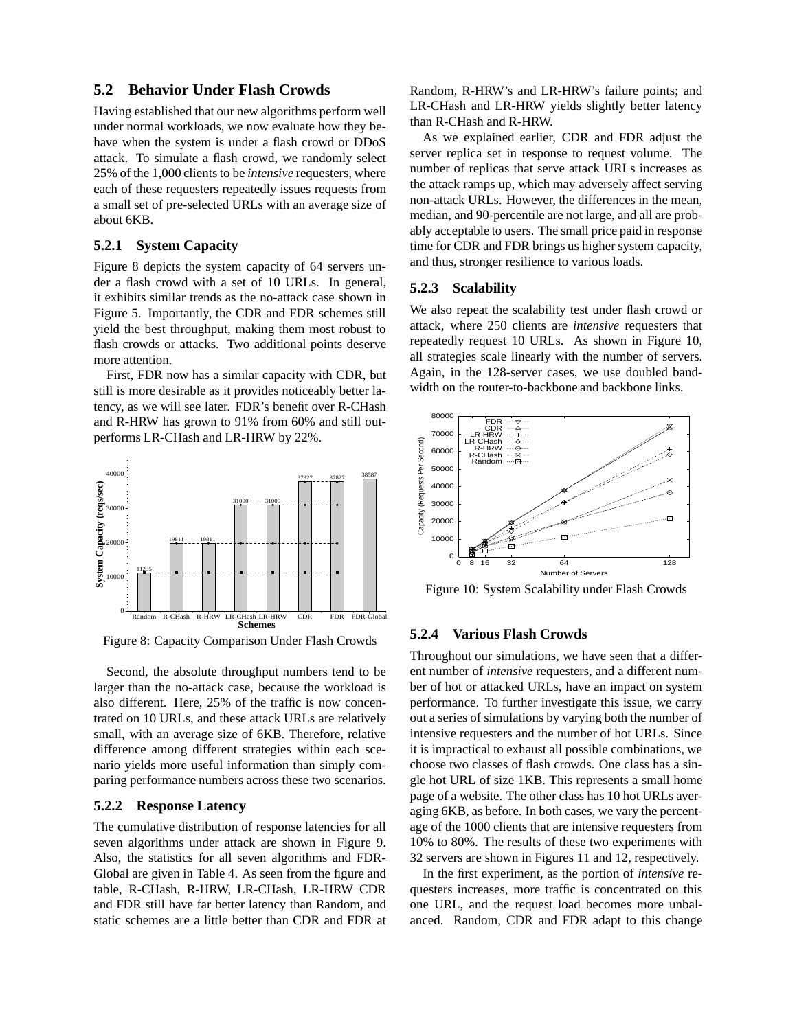## **5.2 Behavior Under Flash Crowds**

Having established that our new algorithms perform well under normal workloads, we now evaluate how they behave when the system is under a flash crowd or DDoS attack. To simulate a flash crowd, we randomly select 25% of the 1,000 clients to be *intensive* requesters, where each of these requesters repeatedly issues requests from a small set of pre-selected URLs with an average size of about 6KB.

#### **5.2.1 System Capacity**

Figure 8 depicts the system capacity of 64 servers under a flash crowd with a set of 10 URLs. In general, it exhibits similar trends as the no-attack case shown in Figure 5. Importantly, the CDR and FDR schemes still yield the best throughput, making them most robust to flash crowds or attacks. Two additional points deserve more attention.

First, FDR now has a similar capacity with CDR, but still is more desirable as it provides noticeably better latency, as we will see later. FDR's benefit over R-CHash and R-HRW has grown to 91% from 60% and still outperforms LR-CHash and LR-HRW by 22%.



Figure 8: Capacity Comparison Under Flash Crowds

Second, the absolute throughput numbers tend to be larger than the no-attack case, because the workload is also different. Here, 25% of the traffic is now concentrated on 10 URLs, and these attack URLs are relatively small, with an average size of 6KB. Therefore, relative difference among different strategies within each scenario yields more useful information than simply comparing performance numbers across these two scenarios.

### **5.2.2 Response Latency**

The cumulative distribution of response latencies for all seven algorithms under attack are shown in Figure 9. Also, the statistics for all seven algorithms and FDR-Global are given in Table 4. As seen from the figure and table, R-CHash, R-HRW, LR-CHash, LR-HRW CDR and FDR still have far better latency than Random, and static schemes are a little better than CDR and FDR at Random, R-HRW's and LR-HRW's failure points; and LR-CHash and LR-HRW yields slightly better latency than R-CHash and R-HRW.

As we explained earlier, CDR and FDR adjust the server replica set in response to request volume. The number of replicas that serve attack URLs increases as the attack ramps up, which may adversely affect serving non-attack URLs. However, the differences in the mean, median, and 90-percentile are not large, and all are probably acceptable to users. The small price paid in response time for CDR and FDR brings us higher system capacity, and thus, stronger resilience to various loads.

#### **5.2.3 Scalability**

We also repeat the scalability test under flash crowd or attack, where 250 clients are *intensive* requesters that repeatedly request 10 URLs. As shown in Figure 10, all strategies scale linearly with the number of servers. Again, in the 128-server cases, we use doubled bandwidth on the router-to-backbone and backbone links.



Figure 10: System Scalability under Flash Crowds

#### **5.2.4 Various Flash Crowds**

Throughout our simulations, we have seen that a different number of *intensive* requesters, and a different number of hot or attacked URLs, have an impact on system performance. To further investigate this issue, we carry out a series of simulations by varying both the number of intensive requesters and the number of hot URLs. Since it is impractical to exhaust all possible combinations, we choose two classes of flash crowds. One class has a single hot URL of size 1KB. This represents a small home page of a website. The other class has 10 hot URLs averaging 6KB, as before. In both cases, we vary the percentage of the 1000 clients that are intensive requesters from 10% to 80%. The results of these two experiments with 32 servers are shown in Figures 11 and 12, respectively.

In the first experiment, as the portion of *intensive* requesters increases, more traffic is concentrated on this one URL, and the request load becomes more unbalanced. Random, CDR and FDR adapt to this change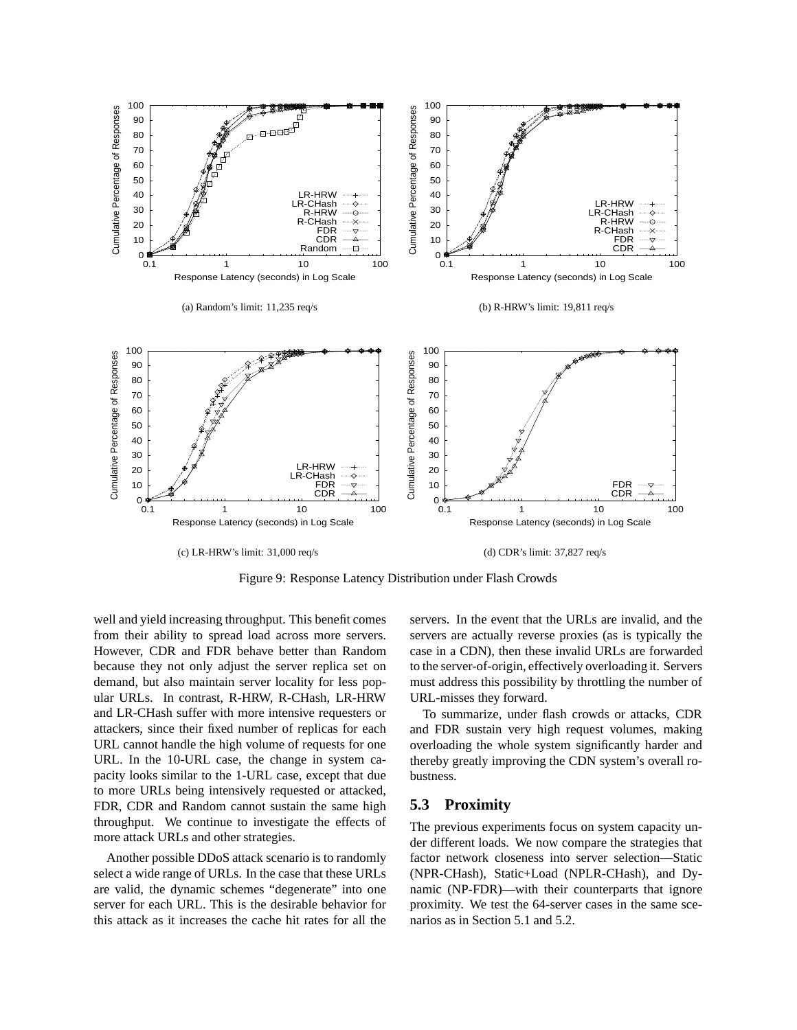

Figure 9: Response Latency Distribution under Flash Crowds

well and yield increasing throughput. This benefit comes from their ability to spread load across more servers. However, CDR and FDR behave better than Random because they not only adjust the server replica set on demand, but also maintain server locality for less popular URLs. In contrast, R-HRW, R-CHash, LR-HRW and LR-CHash suffer with more intensive requesters or attackers, since their fixed number of replicas for each URL cannot handle the high volume of requests for one URL. In the 10-URL case, the change in system capacity looks similar to the 1-URL case, except that due to more URLs being intensively requested or attacked, FDR, CDR and Random cannot sustain the same high throughput. We continue to investigate the effects of more attack URLs and other strategies.

Another possible DDoS attack scenario is to randomly select a wide range of URLs. In the case that these URLs are valid, the dynamic schemes "degenerate" into one server for each URL. This is the desirable behavior for this attack as it increases the cache hit rates for all the servers. In the event that the URLs are invalid, and the servers are actually reverse proxies (as is typically the case in a CDN), then these invalid URLs are forwarded to the server-of-origin, effectively overloading it. Servers must address this possibility by throttling the number of URL-misses they forward.

To summarize, under flash crowds or attacks, CDR and FDR sustain very high request volumes, making overloading the whole system significantly harder and thereby greatly improving the CDN system's overall robustness.

## **5.3 Proximity**

The previous experiments focus on system capacity under different loads. We now compare the strategies that factor network closeness into server selection—Static (NPR-CHash), Static+Load (NPLR-CHash), and Dynamic (NP-FDR)—with their counterparts that ignore proximity. We test the 64-server cases in the same scenarios as in Section 5.1 and 5.2.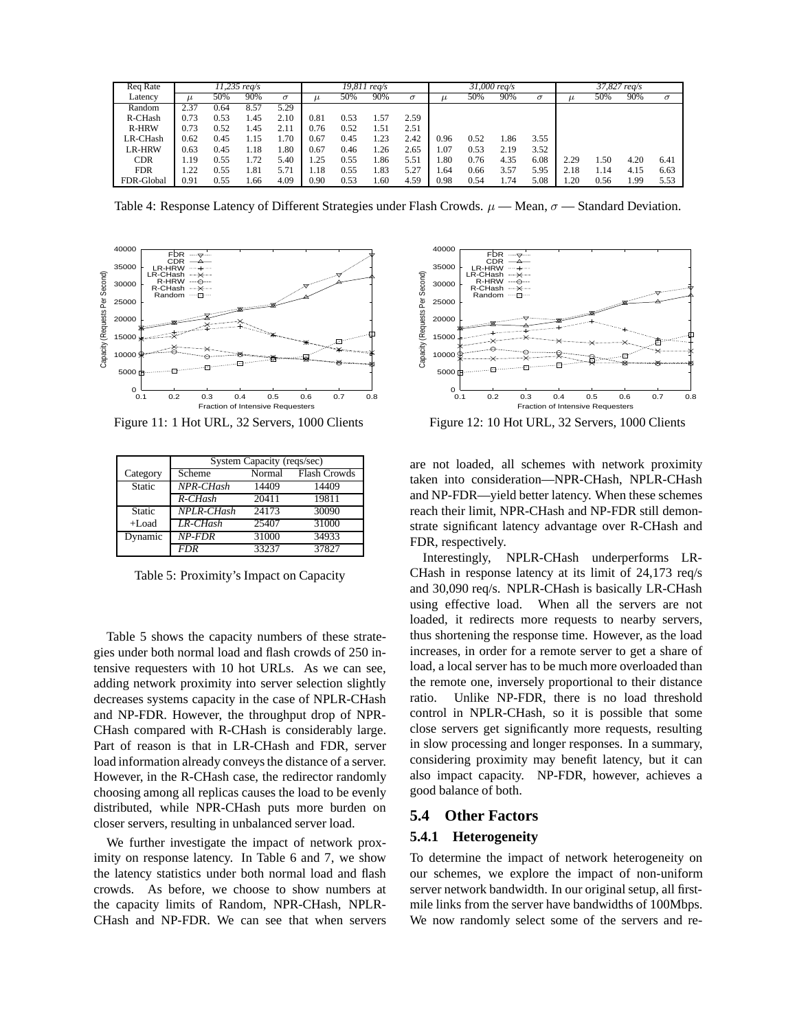| Reg Rate   |       |      | $11.235$ rea/s |          |      |      | $19.811$ rea/s |          |      |      | $31,000$ rea/s |          | $37,827$ reg/s |        |      |          |
|------------|-------|------|----------------|----------|------|------|----------------|----------|------|------|----------------|----------|----------------|--------|------|----------|
| Latency    | $\mu$ | 50%  | 90%            | $\sigma$ |      | 50%  | 90%            | $\sigma$ |      | 50%  | 90%            | $\sigma$ | u              | 50%    | 90%  | $\sigma$ |
| Random     | 2.37  | 0.64 | 8.57           | 5.29     |      |      |                |          |      |      |                |          |                |        |      |          |
| R-CHash    | 0.73  | 0.53 | 1.45           | 2.10     | 0.81 | 0.53 | . 57           | 2.59     |      |      |                |          |                |        |      |          |
| R-HRW      | 0.73  | 0.52 | 1.45           | 2.11     | 0.76 | 0.52 | . 51           | 2.51     |      |      |                |          |                |        |      |          |
| LR-CHash   | 0.62  | 0.45 | 1.15           | 1.70     | 0.67 | 0.45 | .23            | 2.42     | 0.96 | 0.52 | 86             | 3.55     |                |        |      |          |
| LR-HRW     | 0.63  | 0.45 | 1.18           | 1.80     | 0.67 | 0.46 | 1.26           | 2.65     | 1.07 | 0.53 | 2.19           | 3.52     |                |        |      |          |
| <b>CDR</b> | . 19  | 0.55 | 1.72           | 5.40     | 1.25 | 0.55 | 1.86           | 5.51     | 1.80 | 0.76 | 4.35           | 6.08     | 2.29           | . . 50 | 4.20 | 6.41     |
| <b>FDR</b> | .22   | 0.55 | 1.81           | 5.71     | 1.18 | 0.55 | 1.83           | 5.27     | 1.64 | 0.66 | 3.57           | 5.95     | 2.18           | 1.14   | 4.15 | 6.63     |
| FDR-Global | 0.91  | 0.55 | 1.66           | 4.09     | 0.90 | 0.53 | 1.60           | 4.59     | 0.98 | 0.54 | 1.74           | 5.08     | 1.20           | 0.56   | 1.99 | 5.53     |

Table 4: Response Latency of Different Strategies under Flash Crowds.  $\mu$  — Mean,  $\sigma$  — Standard Deviation.



Figure 11: 1 Hot URL, 32 Servers, 1000 Clients

|               |              | System Capacity (reqs/sec) |                     |  |  |  |  |  |  |  |  |  |  |  |
|---------------|--------------|----------------------------|---------------------|--|--|--|--|--|--|--|--|--|--|--|
| Category      | Scheme       | Normal                     | <b>Flash Crowds</b> |  |  |  |  |  |  |  |  |  |  |  |
| <b>Static</b> | NPR-CHash    | 14409                      | 14409               |  |  |  |  |  |  |  |  |  |  |  |
|               | R-CHash      | 20411                      | 19811               |  |  |  |  |  |  |  |  |  |  |  |
| <b>Static</b> | NPLR-CHash   | 24173                      | 30090               |  |  |  |  |  |  |  |  |  |  |  |
| $+$ Load      | LR-CHash     | 25407                      | 31000               |  |  |  |  |  |  |  |  |  |  |  |
| Dynamic       | $NP$ - $FDR$ | 31000                      | 34933               |  |  |  |  |  |  |  |  |  |  |  |
|               | <i>FDR</i>   | 33237                      | 37827               |  |  |  |  |  |  |  |  |  |  |  |

Table 5: Proximity's Impact on Capacity

Table 5 shows the capacity numbers of these strategies under both normal load and flash crowds of 250 intensive requesters with 10 hot URLs. As we can see, adding network proximity into server selection slightly decreases systems capacity in the case of NPLR-CHash and NP-FDR. However, the throughput drop of NPR-CHash compared with R-CHash is considerably large. Part of reason is that in LR-CHash and FDR, server load information already conveys the distance of a server. However, in the R-CHash case, the redirector randomly choosing among all replicas causes the load to be evenly distributed, while NPR-CHash puts more burden on closer servers, resulting in unbalanced server load.

We further investigate the impact of network proximity on response latency. In Table 6 and 7, we show the latency statistics under both normal load and flash crowds. As before, we choose to show numbers at the capacity limits of Random, NPR-CHash, NPLR-CHash and NP-FDR. We can see that when servers



Figure 12: 10 Hot URL, 32 Servers, 1000 Clients

are not loaded, all schemes with network proximity taken into consideration—NPR-CHash, NPLR-CHash and NP-FDR—yield better latency. When these schemes reach their limit, NPR-CHash and NP-FDR still demonstrate significant latency advantage over R-CHash and FDR, respectively.

Interestingly, NPLR-CHash underperforms LR-CHash in response latency at its limit of 24,173 req/s and 30,090 req/s. NPLR-CHash is basically LR-CHash using effective load. When all the servers are not loaded, it redirects more requests to nearby servers, thus shortening the response time. However, as the load increases, in order for a remote server to get a share of load, a local server has to be much more overloaded than the remote one, inversely proportional to their distance ratio. Unlike NP-FDR, there is no load threshold control in NPLR-CHash, so it is possible that some close servers get significantly more requests, resulting in slow processing and longer responses. In a summary, considering proximity may benefit latency, but it can also impact capacity. NP-FDR, however, achieves a good balance of both.

#### **5.4 Other Factors**

#### **5.4.1 Heterogeneity**

To determine the impact of network heterogeneity on our schemes, we explore the impact of non-uniform server network bandwidth. In our original setup, all firstmile links from the server have bandwidths of 100Mbps. We now randomly select some of the servers and re-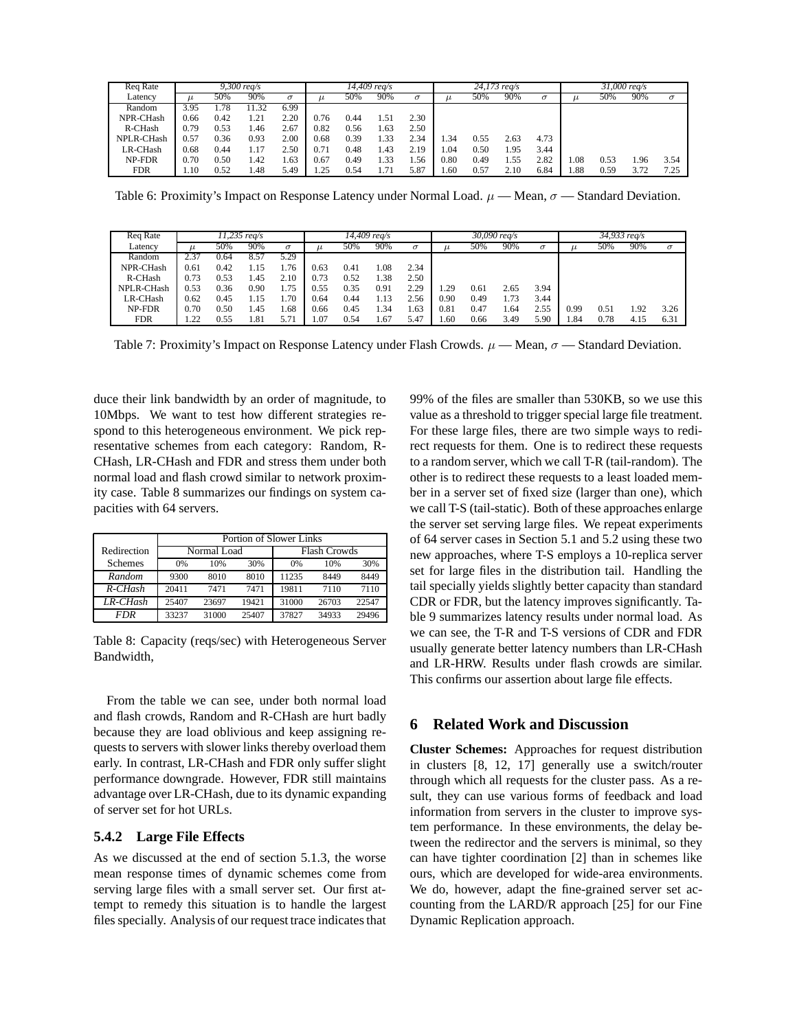| Reg Rate   |       |      | $9,300$ rea/s |          |      |      | $14,409$ req/s | $24,173$ reg/s |      |      |      |          | $31,000$ rea/s |      |      |          |
|------------|-------|------|---------------|----------|------|------|----------------|----------------|------|------|------|----------|----------------|------|------|----------|
| Latency    | $\mu$ | 50%  | 90%           | $\sigma$ |      | 50%  | 90%            | $\sigma$       |      | 50%  | 90%  | $\sigma$ | $\mu$          | 50%  | 90%  | $\sigma$ |
| Random     | 3.95  | .78  | 11.32         | 6.99     |      |      |                |                |      |      |      |          |                |      |      |          |
| NPR-CHash  | 0.66  | 0.42 | .21           | 2.20     | 0.76 | 0.44 | l.51           | 2.30           |      |      |      |          |                |      |      |          |
| R-CHash    | 0.79  | 0.53 | .46           | 2.67     | 0.82 | 0.56 | 1.63           | 2.50           |      |      |      |          |                |      |      |          |
| NPLR-CHash | 0.57  | 0.36 | 0.93          | 2.00     | 0.68 | 0.39 | 1.33           | 2.34           | .34  | 0.55 | 2.63 | 4.73     |                |      |      |          |
| LR-CHash   | 0.68  | 0.44 | 1.17          | 2.50     | 0.71 | 0.48 | .43            | 2.19           | .04  | 0.50 | 1.95 | 3.44     |                |      |      |          |
| NP-FDR     | 0.70  | 0.50 | 1.42          | 1.63     | 0.67 | 0.49 | 1.33           | .56            | 0.80 | 0.49 | 1.55 | 2.82     | .08            | 0.53 | 1.96 | 3.54     |
| <b>FDR</b> | 1.10  | 0.52 | 1.48          | 5.49     | 1.25 | 0.54 | 1.71           | 5.87           | .60  | 0.57 | 2.10 | 6.84     | . 88           | 0.59 | 3.72 | 7.25     |

Table 6: Proximity's Impact on Response Latency under Normal Load.  $\mu$  — Mean,  $\sigma$  — Standard Deviation.

| Reg Rate   |       | $11,235$ reg/s |      |          |      | $14.409$ rea/s |      |          | $30.090$ rea/s |      |      |          | $34,933$ reg/s |      |      |          |
|------------|-------|----------------|------|----------|------|----------------|------|----------|----------------|------|------|----------|----------------|------|------|----------|
| Latency    | $\mu$ | 50%            | 90%  | $\sigma$ | u    | 50%            | 90%  | $\sigma$ |                | 50%  | 90%  | $\sigma$ |                | 50%  | 90%  | $\sigma$ |
| Random     | 2.37  | 0.64           | 8.57 | 5.29     |      |                |      |          |                |      |      |          |                |      |      |          |
| NPR-CHash  | 0.61  | 0.42           | 1.15 | .76      | 0.63 | 0.41           | 1.08 | 2.34     |                |      |      |          |                |      |      |          |
| R-CHash    | 0.73  | 0.53           | 1.45 | 2.10     | 0.73 | 0.52           | 1.38 | 2.50     |                |      |      |          |                |      |      |          |
| NPLR-CHash | 0.53  | 0.36           | 0.90 | 1.75     | 0.55 | 0.35           | 0.91 | 2.29     | .29            | 0.61 | 2.65 | 3.94     |                |      |      |          |
| LR-CHash   | 0.62  | 0.45           | 1.15 | . . 70   | 0.64 | 0.44           | 1.13 | 2.56     | 0.90           | 0.49 | 1.73 | 3.44     |                |      |      |          |
| NP-FDR     | 0.70  | 0.50           | 1.45 | .68      | 0.66 | 0.45           | 1.34 | 1.63     | 0.81           | 0.47 | .64  | 2.55     | 0.99           | 0.51 | 1.92 | 3.26     |
| <b>FDR</b> | .22   | 0.55           | 1.81 | 5.71     | 1.07 | 0.54           | 1.67 | 5.47     | 1.60           | 0.66 | 3.49 | 5.90     | .84            | 0.78 | 4.15 | 6.31     |

Table 7: Proximity's Impact on Response Latency under Flash Crowds.  $\mu$  — Mean,  $\sigma$  — Standard Deviation.

duce their link bandwidth by an order of magnitude, to 10Mbps. We want to test how different strategies respond to this heterogeneous environment. We pick representative schemes from each category: Random, R-CHash, LR-CHash and FDR and stress them under both normal load and flash crowd similar to network proximity case. Table 8 summarizes our findings on system capacities with 64 servers.

|             |       | Portion of Slower Links |       |                     |       |       |  |  |  |  |  |  |  |  |  |
|-------------|-------|-------------------------|-------|---------------------|-------|-------|--|--|--|--|--|--|--|--|--|
| Redirection |       | Normal Load             |       | <b>Flash Crowds</b> |       |       |  |  |  |  |  |  |  |  |  |
| Schemes     | 0%    | 10%                     | 30%   | 0%                  | 10%   | 30%   |  |  |  |  |  |  |  |  |  |
| Random      | 9300  | 8010                    | 8010  | 11235               | 8449  | 8449  |  |  |  |  |  |  |  |  |  |
| R-CHash     | 20411 | 7471                    | 7471  | 19811               | 7110  | 7110  |  |  |  |  |  |  |  |  |  |
| LR-CHash    | 25407 | 23697                   | 19421 | 31000               | 26703 | 22547 |  |  |  |  |  |  |  |  |  |
| <i>FDR</i>  | 33237 | 31000                   | 25407 | 37827               | 34933 | 29496 |  |  |  |  |  |  |  |  |  |

Table 8: Capacity (reqs/sec) with Heterogeneous Server Bandwidth,

From the table we can see, under both normal load and flash crowds, Random and R-CHash are hurt badly because they are load oblivious and keep assigning requests to servers with slower links thereby overload them early. In contrast, LR-CHash and FDR only suffer slight performance downgrade. However, FDR still maintains advantage over LR-CHash, due to its dynamic expanding of server set for hot URLs.

## **5.4.2 Large File Effects**

As we discussed at the end of section 5.1.3, the worse mean response times of dynamic schemes come from serving large files with a small server set. Our first attempt to remedy this situation is to handle the largest files specially. Analysis of our request trace indicates that 99% of the files are smaller than 530KB, so we use this value as a threshold to trigger special large file treatment. For these large files, there are two simple ways to redirect requests for them. One is to redirect these requests to a random server, which we call T-R (tail-random). The other is to redirect these requests to a least loaded member in a server set of fixed size (larger than one), which we call T-S (tail-static). Both of these approaches enlarge the server set serving large files. We repeat experiments of 64 server cases in Section 5.1 and 5.2 using these two new approaches, where T-S employs a 10-replica server set for large files in the distribution tail. Handling the tail specially yields slightly better capacity than standard CDR or FDR, but the latency improves significantly. Table 9 summarizes latency results under normal load. As we can see, the T-R and T-S versions of CDR and FDR usually generate better latency numbers than LR-CHash and LR-HRW. Results under flash crowds are similar. This confirms our assertion about large file effects.

### **6 Related Work and Discussion**

**Cluster Schemes:** Approaches for request distribution in clusters [8, 12, 17] generally use a switch/router through which all requests for the cluster pass. As a result, they can use various forms of feedback and load information from servers in the cluster to improve system performance. In these environments, the delay between the redirector and the servers is minimal, so they can have tighter coordination [2] than in schemes like ours, which are developed for wide-area environments. We do, however, adapt the fine-grained server set accounting from the LARD/R approach [25] for our Fine Dynamic Replication approach.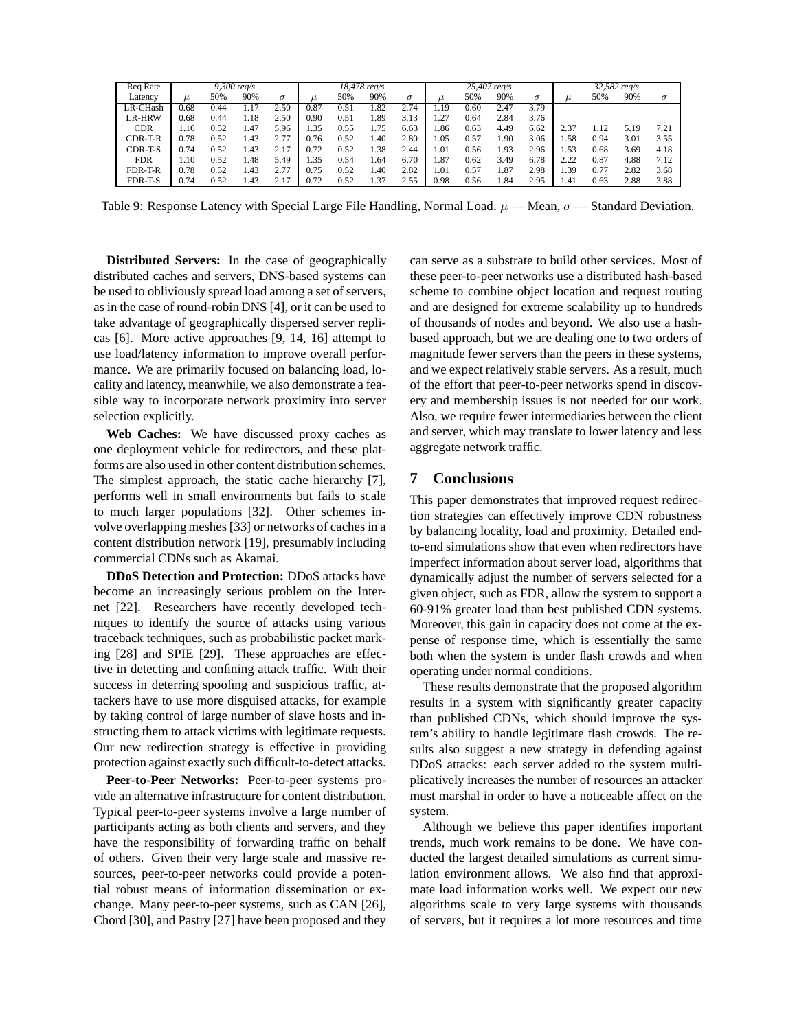| Req Rate   |       |      | $9.300$ rea/s |          |      |      | $18.478$ rea/s |          |       |      | $25.407$ rea/s |          | $32,582$ reg/s |      |      |          |
|------------|-------|------|---------------|----------|------|------|----------------|----------|-------|------|----------------|----------|----------------|------|------|----------|
| Latency    | $\mu$ | 50%  | 90%           | $\sigma$ | u    | 50%  | 90%            | $\sigma$ | $\mu$ | 50%  | 90%            | $\sigma$ | $\mu$          | 50%  | 90%  | $\sigma$ |
| LR-CHash   | 0.68  | 0.44 | .17           | 2.50     | 0.87 | 0.51 | .82            | 2.74     | .19   | 0.60 | 2.47           | 3.79     |                |      |      |          |
| LR-HRW     | 0.68  | 0.44 | .18           | 2.50     | 0.90 | 0.51 | .89            | 3.13     | .27   | 0.64 | 2.84           | 3.76     |                |      |      |          |
| <b>CDR</b> | .16   | 0.52 | .47           | 5.96     | 1.35 | 0.55 | l.75           | 6.63     | .86   | 0.63 | 4.49           | 6.62     | 2.37           | .12  | 5.19 | 7.21     |
| CDR-T-R    | 0.78  | 0.52 | . 43          | 2.77     | 0.76 | 0.52 | .40            | 2.80     | .05   | 0.57 | 1.90           | 3.06     | .58            | 0.94 | 3.01 | 3.55     |
| CDR-T-S    | 0.74  | 0.52 | .43           | 2.17     | 0.72 | 0.52 | 1.38           | 2.44     | 1.01  | 0.56 | 1.93           | 2.96     | .53            | 0.68 | 3.69 | 4.18     |
| <b>FDR</b> | .10   | 0.52 | .48           | 5.49     | 1.35 | 0.54 | .64            | 6.70     | . 87  | 0.62 | 3.49           | 6.78     | 2.22           | 0.87 | 4.88 | 7.12     |
| FDR-T-R    | 0.78  | 0.52 | .43           | 2.77     | 0.75 | 0.52 | .40            | 2.82     | 1.01  | 0.57 | 1.87           | 2.98     | .39            | 0.77 | 2.82 | 3.68     |
| FDR-T-S    | 0.74  | 0.52 | .43           | 2.17     | 0.72 | 0.52 | .37            | 2.55     | 0.98  | 0.56 | 1.84           | 2.95     | .41            | 0.63 | 2.88 | 3.88     |

Table 9: Response Latency with Special Large File Handling, Normal Load.  $\mu$  — Mean,  $\sigma$  — Standard Deviation.

**Distributed Servers:** In the case of geographically distributed caches and servers, DNS-based systems can be used to obliviously spread load among a set of servers, as in the case of round-robin DNS [4], or it can be used to take advantage of geographically dispersed server replicas [6]. More active approaches [9, 14, 16] attempt to use load/latency information to improve overall performance. We are primarily focused on balancing load, locality and latency, meanwhile, we also demonstrate a feasible way to incorporate network proximity into server selection explicitly.

**Web Caches:** We have discussed proxy caches as one deployment vehicle for redirectors, and these platforms are also used in other content distribution schemes. The simplest approach, the static cache hierarchy [7], performs well in small environments but fails to scale to much larger populations [32]. Other schemes involve overlapping meshes [33] or networks of caches in a content distribution network [19], presumably including commercial CDNs such as Akamai.

**DDoS Detection and Protection:** DDoS attacks have become an increasingly serious problem on the Internet [22]. Researchers have recently developed techniques to identify the source of attacks using various traceback techniques, such as probabilistic packet marking [28] and SPIE [29]. These approaches are effective in detecting and confining attack traffic. With their success in deterring spoofing and suspicious traffic, attackers have to use more disguised attacks, for example by taking control of large number of slave hosts and instructing them to attack victims with legitimate requests. Our new redirection strategy is effective in providing protection against exactly such difficult-to-detect attacks.

**Peer-to-Peer Networks:** Peer-to-peer systems provide an alternative infrastructure for content distribution. Typical peer-to-peer systems involve a large number of participants acting as both clients and servers, and they have the responsibility of forwarding traffic on behalf of others. Given their very large scale and massive resources, peer-to-peer networks could provide a potential robust means of information dissemination or exchange. Many peer-to-peer systems, such as CAN [26], Chord [30], and Pastry [27] have been proposed and they can serve as a substrate to build other services. Most of these peer-to-peer networks use a distributed hash-based scheme to combine object location and request routing and are designed for extreme scalability up to hundreds of thousands of nodes and beyond. We also use a hashbased approach, but we are dealing one to two orders of magnitude fewer servers than the peers in these systems, and we expect relatively stable servers. As a result, much of the effort that peer-to-peer networks spend in discovery and membership issues is not needed for our work. Also, we require fewer intermediaries between the client and server, which may translate to lower latency and less aggregate network traffic.

# **7 Conclusions**

This paper demonstrates that improved request redirection strategies can effectively improve CDN robustness by balancing locality, load and proximity. Detailed endto-end simulations show that even when redirectors have imperfect information about server load, algorithms that dynamically adjust the number of servers selected for a given object, such as FDR, allow the system to support a 60-91% greater load than best published CDN systems. Moreover, this gain in capacity does not come at the expense of response time, which is essentially the same both when the system is under flash crowds and when operating under normal conditions.

These results demonstrate that the proposed algorithm results in a system with significantly greater capacity than published CDNs, which should improve the system's ability to handle legitimate flash crowds. The results also suggest a new strategy in defending against DDoS attacks: each server added to the system multiplicatively increases the number of resources an attacker must marshal in order to have a noticeable affect on the system.

Although we believe this paper identifies important trends, much work remains to be done. We have conducted the largest detailed simulations as current simulation environment allows. We also find that approximate load information works well. We expect our new algorithms scale to very large systems with thousands of servers, but it requires a lot more resources and time